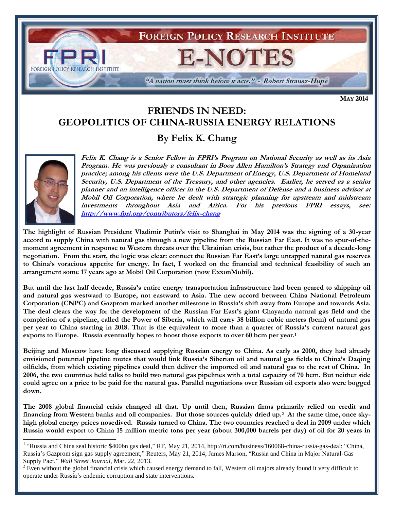

**MAY 2014**

# **FRIENDS IN NEED: GEOPOLITICS OF CHINA-RUSSIA ENERGY RELATIONS By Felix K. Chang**



 $\overline{a}$ 

**Felix K. Chang is a Senior Fellow in FPRI's Program on National Security as well as its Asia Program. He was previously a consultant in Booz Allen Hamilton's Strategy and Organization practice; among his clients were the U.S. Department of Energy, U.S. Department of Homeland Security, U.S. Department of the Treasury, and other agencies. Earlier, he served as a senior planner and an intelligence officer in the U.S. Department of Defense and a business advisor at Mobil Oil Corporation, where he dealt with strategic planning for upstream and midstream investments throughout Asia and Africa. For his previous FPRI essays, see: <http://www.fpri.org/contributors/felix-chang>**

**The highlight of Russian President Vladimir Putin's visit to Shanghai in May 2014 was the signing of a 30-year accord to supply China with natural gas through a new pipeline from the Russian Far East. It was no spur-of-themoment agreement in response to Western threats over the Ukrainian crisis, but rather the product of a decade-long negotiation. From the start, the logic was clear: connect the Russian Far East's large untapped natural gas reserves to China's voracious appetite for energy. In fact, I worked on the financial and technical feasibility of such an arrangement some 17 years ago at Mobil Oil Corporation (now ExxonMobil).**

**But until the last half decade, Russia's entire energy transportation infrastructure had been geared to shipping oil and natural gas westward to Europe, not eastward to Asia. The new accord between China National Petroleum Corporation (CNPC) and Gazprom marked another milestone in Russia's shift away from Europe and towards Asia. The deal clears the way for the development of the Russian Far East's giant Chayanda natural gas field and the completion of a pipeline, called the Power of Siberia, which will carry 38 billion cubic meters (bcm) of natural gas per year to China starting in 2018. That is the equivalent to more than a quarter of Russia's current natural gas exports to Europe. Russia eventually hopes to boost those exports to over 60 bcm per year.<sup>1</sup>**

**Beijing and Moscow have long discussed supplying Russian energy to China. As early as 2000, they had already envisioned potential pipeline routes that would link Russia's Siberian oil and natural gas fields to China's Daqing oilfields, from which existing pipelines could then deliver the imported oil and natural gas to the rest of China. In 2006, the two countries held talks to build two natural gas pipelines with a total capacity of 70 bcm. But neither side could agree on a price to be paid for the natural gas. Parallel negotiations over Russian oil exports also were bogged down.**

**The 2008 global financial crisis changed all that. Up until then, Russian firms primarily relied on credit and financing from Western banks and oil companies. But those sources quickly dried up.<sup>2</sup> At the same time, once skyhigh global energy prices nosedived. Russia turned to China. The two countries reached a deal in 2009 under which Russia would export to China 15 million metric tons per year (about 300,000 barrels per day) of oil for 20 years in** 

<sup>&</sup>lt;sup>1</sup> "Russia and China seal historic \$400bn gas deal," RT, May 21, 2014, http://rt.com/business/160068-china-russia-gas-deal; "China, Russia's Gazprom sign gas supply agreement," Reuters, May 21, 2014; James Marson, "Russia and China in Major Natural-Gas Supply Pact," *Wall Street Journal*, Mar. 22, 2013.

 $2 \text{ Even without the global financial crisis which caused energy demand to fall, Western oil majors already found it very difficult to$ operate under Russia's endemic corruption and state interventions.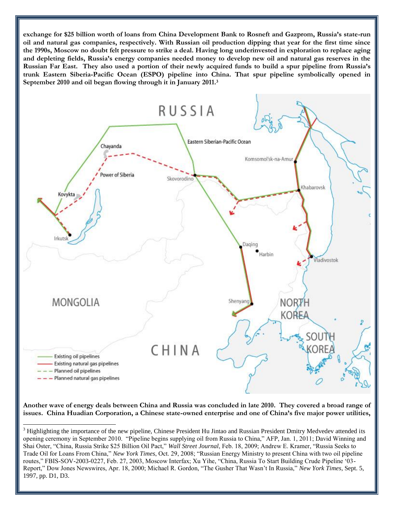**exchange for \$25 billion worth of loans from China Development Bank to Rosneft and Gazprom, Russia's state-run oil and natural gas companies, respectively. With Russian oil production dipping that year for the first time since the 1990s, Moscow no doubt felt pressure to strike a deal. Having long underinvested in exploration to replace aging and depleting fields, Russia's energy companies needed money to develop new oil and natural gas reserves in the Russian Far East.** They also used a portion of their newly acquired funds to build a spur pipeline from Russia's **trunk Eastern Siberia-Pacific Ocean (ESPO) pipeline into China. That spur pipeline symbolically opened in September 2010 and oil began flowing through it in January 2011.<sup>3</sup>**



**Another wave of energy deals between China and Russia was concluded in late 2010. They covered a broad range of issues. China Huadian Corporation, a Chinese state-owned enterprise and one of China's five major power utilities,** 

 $\overline{a}$ 

 $3$  Highlighting the importance of the new pipeline, Chinese President Hu Jintao and Russian President Dmitry Medvedev attended its opening ceremony in September 2010. "Pipeline begins supplying oil from Russia to China," AFP, Jan. 1, 2011; David Winning and Shai Oster, "China, Russia Strike \$25 Billion Oil Pact," *Wall Street Journal*, Feb. 18, 2009; Andrew E. Kramer, "Russia Seeks to Trade Oil for Loans From China," *New York Times*, Oct. 29, 2008; "Russian Energy Ministry to present China with two oil pipeline routes," FBIS-SOV-2003-0227, Feb. 27, 2003, Moscow Interfax; Xu Yihe, "China, Russia To Start Building Crude Pipeline '03- Report," Dow Jones Newswires, Apr. 18, 2000; Michael R. Gordon, "The Gusher That Wasn't In Russia," *New York Times*, Sept. 5, 1997, pp. D1, D3.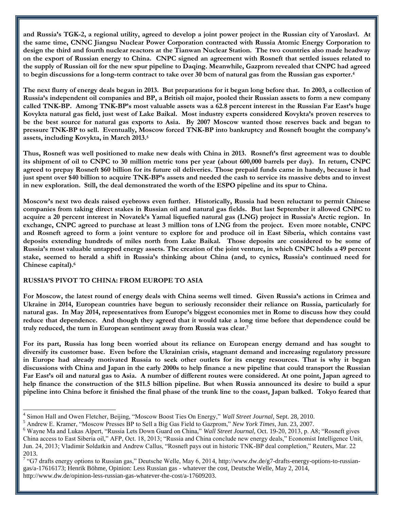**and Russia's TGK-2, a regional utility, agreed to develop a joint power project in the Russian city of Yaroslavl. At the same time, CNNC Jiangsu Nuclear Power Corporation contracted with Russia Atomic Energy Corporation to design the third and fourth nuclear reactors at the Tianwan Nuclear Station. The two countries also made headway on the export of Russian energy to China. CNPC signed an agreement with Rosneft that settled issues related to the supply of Russian oil for the new spur pipeline to Daqing. Meanwhile, Gazprom revealed that CNPC had agreed to begin discussions for a long-term contract to take over 30 bcm of natural gas from the Russian gas exporter.<sup>4</sup>**

**The next flurry of energy deals began in 2013. But preparations for it began long before that. In 2003, a collection of Russia's independent oil companies and BP, a British oil major, pooled their Russian assets to form a new company called TNK-BP. Among TNK-BP's most valuable assets was a 62.8 percent interest in the Russian Far East's huge Kovykta natural gas field, just west of Lake Baikal. Most industry experts considered Kovykta's proven reserves to be the best source for natural gas exports to Asia. By 2007 Moscow wanted those reserves back and began to pressure TNK-BP to sell. Eventually, Moscow forced TNK-BP into bankruptcy and Rosneft bought the company's assets, including Kovykta, in March 2013.<sup>5</sup>**

**Thus, Rosneft was well positioned to make new deals with China in 2013. Rosneft's first agreement was to double its shipment of oil to CNPC to 30 million metric tons per year (about 600,000 barrels per day). In return, CNPC agreed to prepay Rosneft \$60 billion for its future oil deliveries. Those prepaid funds came in handy, because it had just spent over \$40 billion to acquire TNK-BP's assets and needed the cash to service its massive debts and to invest in new exploration. Still, the deal demonstrated the worth of the ESPO pipeline and its spur to China.**

**Moscow's next two deals raised eyebrows even further. Historically, Russia had been reluctant to permit Chinese companies from taking direct stakes in Russian oil and natural gas fields. But last September it allowed CNPC to acquire a 20 percent interest in Novatek's Yamal liquefied natural gas (LNG) project in Russia's Arctic region. In exchange, CNPC agreed to purchase at least 3 million tons of LNG from the project. Even more notable, CNPC and Rosneft agreed to form a joint venture to explore for and produce oil in East Siberia, which contains vast deposits extending hundreds of miles north from Lake Baikal. Those deposits are considered to be some of Russia's most valuable untapped energy assets. The creation of the joint venture, in which CNPC holds a 49 percent stake, seemed to herald a shift in Russia's thinking about China (and, to cynics, Russia's continued need for Chinese capital).<sup>6</sup>**

### **RUSSIA'S PIVOT TO CHINA: FROM EUROPE TO ASIA**

 $\overline{a}$ 

**For Moscow, the latest round of energy deals with China seems well timed. Given Russia's actions in Crimea and Ukraine in 2014, European countries have begun to seriously reconsider their reliance on Russia, particularly for natural gas. In May 2014, representatives from Europe's biggest economies met in Rome to discuss how they could reduce that dependence. And though they agreed that it would take a long time before that dependence could be truly reduced, the turn in European sentiment away from Russia was clear.<sup>7</sup>**

**For its part, Russia has long been worried about its reliance on European energy demand and has sought to diversify its customer base. Even before the Ukrainian crisis, stagnant demand and increasing regulatory pressure in Europe had already motivated Russia to seek other outlets for its energy resources. That is why it began discussions with China and Japan in the early 2000s to help finance a new pipeline that could transport the Russian Far East's oil and natural gas to Asia. A number of different routes were considered. At one point, Japan agreed to help finance the construction of the \$11.5 billion pipeline. But when Russia announced its desire to build a spur pipeline into China before it finished the final phase of the trunk line to the coast, Japan balked. Tokyo feared that** 

<sup>4</sup> Simon Hall and Owen Fletcher, Beijing, "Moscow Boost Ties On Energy," *Wall Street Journal*, Sept. 28, 2010.

<sup>5</sup> Andrew E. Kramer, "Moscow Presses BP to Sell a Big Gas Field to Gazprom," *New York Times*, Jun. 23, 2007.

<sup>6</sup> Wayne Ma and Lukas Alpert, "Russia Lets Down Guard on China," *Wall Street Journal*, Oct. 19-20, 2013, p. A8; "Rosneft gives China access to East Siberia oil," AFP, Oct. 18, 2013; "Russia and China conclude new energy deals," Economist Intelligence Unit, Jun. 24, 2013; Vladimir Soldatkin and Andrew Callus, "Rosneft pays out in historic TNK-BP deal completion," Reuters, Mar. 22 2013.

<sup>&</sup>lt;sup>7</sup> "G7 drafts energy options to Russian gas," Deutsche Welle, May 6, 2014, http://www.dw.de/g7-drafts-energy-options-to-russiangas/a-17616173; Henrik Böhme, Opinion: Less Russian gas - whatever the cost, Deutsche Welle, May 2, 2014, http://www.dw.de/opinion-less-russian-gas-whatever-the-cost/a-17609203.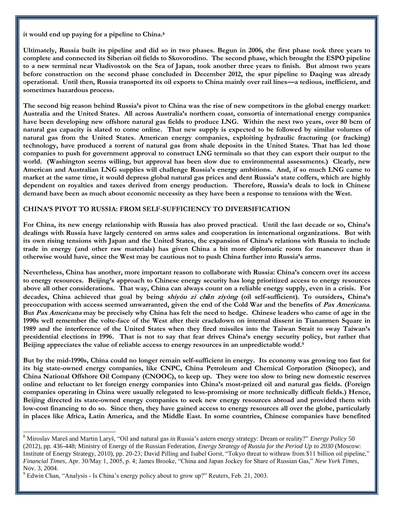**it would end up paying for a pipeline to China.<sup>8</sup>**

**Ultimately, Russia built its pipeline and did so in two phases. Begun in 2006, the first phase took three years to complete and connected its Siberian oil fields to Skovorodino. The second phase, which brought the ESPO pipeline to a new terminal near Vladivostok on the Sea of Japan, took another three years to finish. But almost two years before construction on the second phase concluded in December 2012, the spur pipeline to Daqing was already operational. Until then, Russia transported its oil exports to China mainly over rail lines—a tedious, inefficient, and sometimes hazardous process.**

**The second big reason behind Russia's pivot to China was the rise of new competitors in the global energy market: Australia and the United States. All across Australia's northern coast, consortia of international energy companies**  have been developing new offshore natural gas fields to produce LNG. Within the next two years, over 80 bcm of **natural gas capacity is slated to come online. That new supply is expected to be followed by similar volumes of natural gas from the United States. American energy companies, exploiting hydraulic fracturing (or fracking) technology, have produced a torrent of natural gas from shale deposits in the United States. That has led those companies to push for government approval to construct LNG terminals so that they can export their output to the world. (Washington seems willing, but approval has been slow due to environmental assessments.) Clearly, new American and Australian LNG supplies will challenge Russia's energy ambitions. And, if so much LNG came to market at the same time, it would depress global natural gas prices and dent Russia's state coffers, which are highly dependent on royalties and taxes derived from energy production. Therefore, Russia's deals to lock in Chinese demand have been as much about economic necessity as they have been a response to tensions with the West.**

# **CHINA'S PIVOT TO RUSSIA: FROM SELF-SUFFICIENCY TO DIVERSIFICATION**

**For China, its new energy relationship with Russia has also proved practical. Until the last decade or so, China's dealings with Russia have largely centered on arms sales and cooperation in international organizations. But with its own rising tensions with Japan and the United States, the expansion of China's relations with Russia to include trade in energy (and other raw materials) has given China a bit more diplomatic room for maneuver than it otherwise would have, since the West may be cautious not to push China further into Russia's arms.**

**Nevertheless, China has another, more important reason to collaborate with Russia: China's concern over its access to energy resources. Beijing's approach to Chinese energy security has long prioritized access to energy resources above all other considerations. That way, China can always count on a reliable energy supply, even in a crisis. For decades, China achieved that goal by being shíyóu zì ch***ǎ***n zìyòng (oil self-sufficient). To outsiders, China's**  preoccupation with access seemed unwarranted, given the end of the Cold War and the benefits of Pax Americana. **But Pax Americana may be precisely why China has felt the need to hedge. Chinese leaders who came of age in the 1990s well remember the volte-face of the West after their crackdown on internal dissent in Tiananmen Square in 1989 and the interference of the United States when they fired missiles into the Taiwan Strait to sway Taiwan's presidential elections in 1996. That is not to say that fear drives China's energy security policy, but rather that Beijing appreciates the value of reliable access to energy resources in an unpredictable world.<sup>9</sup>**

**But by the mid-1990s, China could no longer remain self-sufficient in energy. Its economy was growing too fast for its big state-owned energy companies, like CNPC, China Petroleum and Chemical Corporation (Sinopec), and China National Offshore Oil Company (CNOOC), to keep up. They were too slow to bring new domestic reserves online and reluctant to let foreign energy companies into China's most-prized oil and natural gas fields. (Foreign companies operating in China were usually relegated to less-promising or more technically difficult fields.) Hence, Beijing directed its state-owned energy companies to seek new energy resources abroad and provided them with low-cost financing to do so. Since then, they have gained access to energy resources all over the globe, particularly in places like Africa, Latin America, and the Middle East. In some countries, Chinese companies have benefited** 

 $\overline{a}$ 

<sup>8</sup> Miroslav Mareš and Martin Laryš, "Oil and natural gas in Russia's astern energy strategy: Dream or reality?" *Energy Policy* 50 (2012), pp. 436-448; Ministry of Energy of the Russian Federation, *Energy Strategy of Russia for the Period Up to 2030* (Moscow: Institute of Energy Strategy, 2010), pp. 20-23; David Pilling and Isabel Gorst, "Tokyo threat to withraw from \$11 billion oil pipeline," *Financial Times*, Apr. 30/May 1, 2005, p. 4; James Brooke, "China and Japan Jockey for Share of Russian Gas," *New York Times*, Nov. 3, 2004.

 $9$  Edwin Chan, "Analysis - Is China's energy policy about to grow up?" Reuters, Feb. 21, 2003.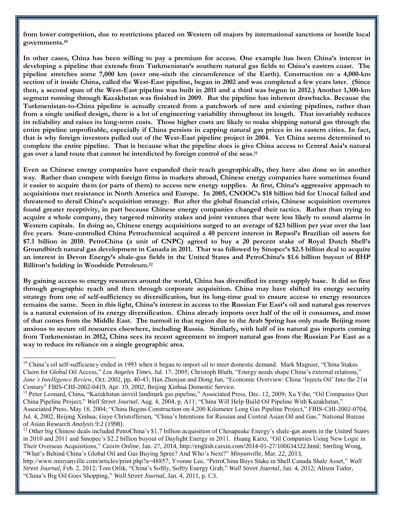**from lower competition, due to restrictions placed on Western oil majors by international sanctions or hostile local governments.<sup>10</sup>**

**In other cases, China has been willing to pay a premium for access. One example has been China's interest in developing a pipeline that extends from Turkmenistan's southern natural gas fields to China's eastern coast. The pipeline stretches some 7,000 km (over one-sixth the circumference of the Earth). Construction on a 4,000-km section of it inside China, called the West-East pipeline, began in 2002 and was completed a few years later. (Since then, a second span of the West-East pipeline was built in 2011 and a third was begun in 2012.) Another 1,300-km segment running through Kazakhstan was finished in 2009. But the pipeline has inherent drawbacks. Because the Turkmenistan-to-China pipeline is actually created from a patchwork of new and existing pipelines, rather than from a single unified design, there is a lot of engineering variability throughout its length. That invariably reduces its reliability and raises its long-term costs. Those higher costs are likely to make shipping natural gas through the entire pipeline unprofitable, especially if China persists in capping natural gas prices in its eastern cities. In fact, that is why foreign investors pulled out of the West-East pipeline project in 2004. Yet China seems determined to complete the entire pipeline. That is because what the pipeline does is give China access to Central Asia's natural gas over a land route that cannot be interdicted by foreign control of the seas.<sup>11</sup>**

**Even as Chinese energy companies have expanded their reach geographically, they have also done so in another way. Rather than compete with foreign firms in markets abroad, Chinese energy companies have sometimes found it easier to acquire them (or parts of them) to access new energy supplies. At first, China's aggressive approach to acquisitions met resistance in North America and Europe. In 2005, CNOOC's \$18 billion bid for Unocal failed and threatened to derail China's acquisition strategy. But after the global financial crisis, Chinese acquisition overtures found greater receptivity, in part because Chinese energy companies changed their tactics. Rather than trying to acquire a whole company, they targeted minority stakes and joint ventures that were less likely to sound alarms in Western capitals. In doing so, Chinese energy acquisitions surged to an average of \$23 billion per year over the last five years. State-controlled China Petrochemical acquired a 40 percent interest in Repsol's Brazilian oil assets for \$7.1 billion in 2010. PetroChina (a unit of CNPC) agreed to buy a 20 percent stake of Royal Dutch Shell's Groundbirch natural gas development in Canada in 2011. That was followed by Sinopec's \$2.5 billion deal to acquire an interest in Devon Energy's shale-gas fields in the United States and PetroChina's \$1.6 billion buyout of BHP Billiton's holding in Woodside Petroleum.<sup>12</sup>**

**By gaining access to energy resources around the world, China has diversified its energy supply base. It did so first through geographic reach and then through corporate acquisition. China may have shifted its energy security strategy from one of self-sufficiency to diversification, but its long-time goal to ensure access to energy resources remains the same. Seen in this light, China's interest in access to the Russian Far East's oil and natural gas reserves is a natural extension of its energy diversification. China already imports over half of the oil it consumes, and most of that comes from the Middle East. The turmoil in that region due to the Arab Spring has only made Beijing more anxious to secure oil resources elsewhere, including Russia. Similarly, with half of its natural gas imports coming from Turkmenistan in 2012, China sees its recent agreement to import natural gas from the Russian Far East as a way to reduce its reliance on a single geographic area.**

 $\overline{a}$ 

<sup>&</sup>lt;sup>10</sup> China's oil self-sufficiency ended in 1993 when it began to import oil to meet domestic demand. Mark Magnier, "China Stakes Claim for Global Oil Access," *Los Angeles Times*, Jul. 17, 2005; Christoph Bluth, "Energy needs shape China's external relations," *Jane's Intelligence Review*, Oct. 2002, pp. 40-43; Han Zhenjun and Dong Jun, "Economic Overview: China 'Injects Oil' Into the 21st Century" FBIS-CHI-2002-0419, Apr. 19, 2002, Beijing Xinhua Domestic Service.

<sup>&</sup>lt;sup>11</sup> Peter Leonard, China, "Kazakhstan unveil landmark gas pipeline," Associated Press, Dec. 12, 2009; Xu Yihe, "Oil Companies Quit China Pipeline Project," *Wall Street Journal*, Aug. 4, 2004, p. A11; "China Will Help Build Oil Pipeline With Kazakhstan," Associated Press, May 18, 2004; "China Begins Construction on 4,200 Kilometer Long Gas Pipeline Project," FBIS-CHI-2002-0704, Jul. 4, 2002, Beijing Xinhua; Gaye Christoffersen, "China's Intentions for Russian and Central Asian Oil and Gas," National Bureau of Asian Research *Analysis* 9:2 (1998).

<sup>&</sup>lt;sup>12</sup> Other big Chinese deals included PetroChina's \$1.7 billion acquisition of Chesapeake Energy's shale-gas assets in the United States in 2010 and 2011 and Sinopec's \$2.2 billion buyout of Daylight Energy in 2011. Huang Kaixi, "Oil Companies Using New Logic in Their Overseas Acquisitions," *Caixin Online*, Jan. 27, 2014, http://english.caixin.com/2014-01-27/100634322.html; Sterling Wong, "What's Behind China's Global Oil and Gas Buying Spree? And Who's Next?" *Minyanville*, Mar. 22, 2013,

http://www.minyanville.com/articles/print.php?a=48857; Yvonne Lee, "PetroChina Buys Stake in Shell Canada Shale Asset," *Wall Street Journal*, Feb. 2, 2012; Tom Orlik, "China's Softly, Softly Energy Grab," *Wall Street Journal*, Jan. 4, 2012; Alison Tudor, "China's Big Oil Goes Shopping," *Wall Street Journal*, Jan. 4, 2011, p. C3.